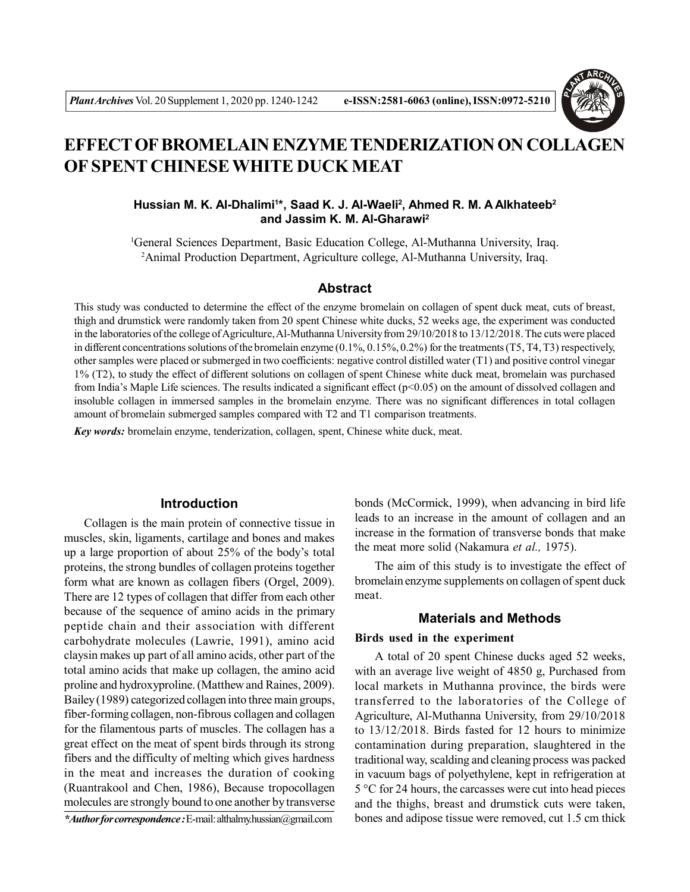

# **EFFECT OF BROMELAIN ENZYME TENDERIZATION ON COLLAGEN OF SPENT CHINESE WHITE DUCK MEAT**

# **Hussian M. K. Al-Dhalimi<sup>1</sup> \*, Saad K. J. Al-Waeli<sup>2</sup> , Ahmed R. M. A Alkhateeb<sup>2</sup> and Jassim K. M. Al-Gharawi<sup>2</sup>**

<sup>1</sup>General Sciences Department, Basic Education College, Al-Muthanna University, Iraq. <sup>2</sup>Animal Production Department, Agriculture college, Al-Muthanna University, Iraq.

## **Abstract**

This study was conducted to determine the effect of the enzyme bromelain on collagen of spent duck meat, cuts of breast, thigh and drumstick were randomly taken from 20 spent Chinese white ducks, 52 weeks age, the experiment was conducted in the laboratories of the college of Agriculture, Al-Muthanna University from 29/10/2018 to 13/12/2018. The cuts were placed in different concentrations solutions of the bromelain enzyme (0.1%, 0.15%, 0.2%) for the treatments (T5, T4, T3) respectively, other samples were placed or submerged in two coefficients: negative control distilled water (T1) and positive control vinegar 1% (T2), to study the effect of different solutions on collagen of spent Chinese white duck meat, bromelain was purchased from India's Maple Life sciences. The results indicated a significant effect (p<0.05) on the amount of dissolved collagen and insoluble collagen in immersed samples in the bromelain enzyme. There was no significant differences in total collagen amount of bromelain submerged samples compared with T2 and T1 comparison treatments.

*Key words:* bromelain enzyme, tenderization, collagen, spent, Chinese white duck, meat.

## **Introduction**

Collagen is the main protein of connective tissue in muscles, skin, ligaments, cartilage and bones and makes up a large proportion of about 25% of the body's total proteins, the strong bundles of collagen proteins together form what are known as collagen fibers (Orgel, 2009). There are 12 types of collagen that differ from each other because of the sequence of amino acids in the primary peptide chain and their association with different carbohydrate molecules (Lawrie, 1991), amino acid claysin makes up part of all amino acids, other part of the total amino acids that make up collagen, the amino acid proline and hydroxyproline. (Matthew and Raines, 2009). Bailey (1989) categorized collagen into three main groups, fiber-forming collagen, non-fibrous collagen and collagen for the filamentous parts of muscles. The collagen has a great effect on the meat of spent birds through its strong fibers and the difficulty of melting which gives hardness in the meat and increases the duration of cooking (Ruantrakool and Chen, 1986), Because tropocollagen molecules are strongly bound to one another by transverse

*\*Author for correspondence :* E-mail: althalmy.hussian@gmail.com

bonds (McCormick, 1999), when advancing in bird life leads to an increase in the amount of collagen and an increase in the formation of transverse bonds that make the meat more solid (Nakamura *et al.,* 1975).

The aim of this study is to investigate the effect of bromelain enzyme supplements on collagen of spent duck meat.

# **Materials and Methods**

### **Birds used in the experiment**

A total of 20 spent Chinese ducks aged 52 weeks, with an average live weight of 4850 g, Purchased from local markets in Muthanna province, the birds were transferred to the laboratories of the College of Agriculture, Al-Muthanna University, from 29/10/2018 to 13/12/2018. Birds fasted for 12 hours to minimize contamination during preparation, slaughtered in the traditional way, scalding and cleaning process was packed in vacuum bags of polyethylene, kept in refrigeration at 5 °C for 24 hours, the carcasses were cut into head pieces and the thighs, breast and drumstick cuts were taken, bones and adipose tissue were removed, cut 1.5 cm thick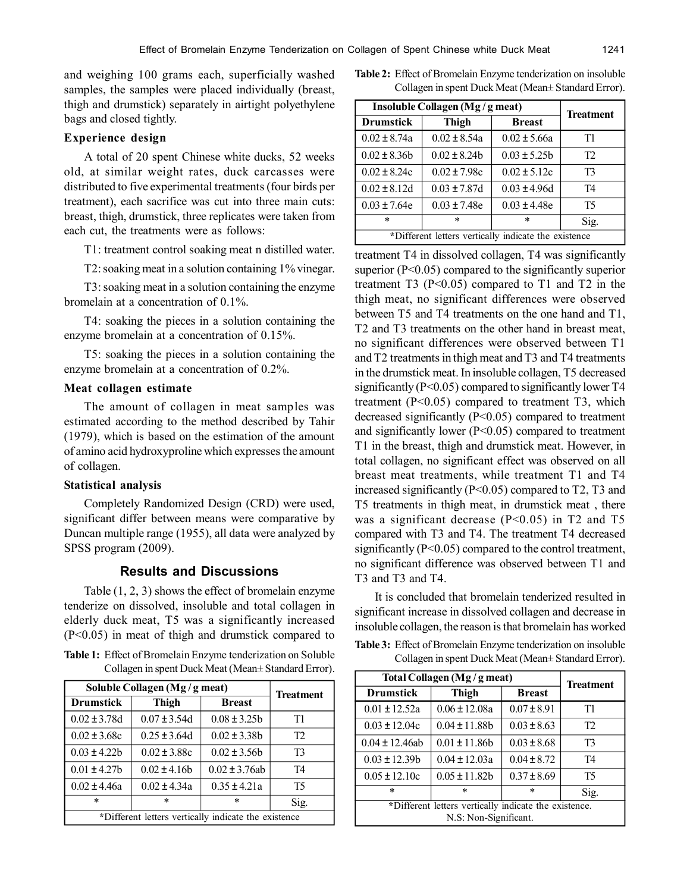and weighing 100 grams each, superficially washed samples, the samples were placed individually (breast, thigh and drumstick) separately in airtight polyethylene bags and closed tightly.

# **Experience design**

A total of 20 spent Chinese white ducks, 52 weeks old, at similar weight rates, duck carcasses were distributed to five experimental treatments (four birds per treatment), each sacrifice was cut into three main cuts: breast, thigh, drumstick, three replicates were taken from each cut, the treatments were as follows:

T1: treatment control soaking meat n distilled water.

T2: soaking meat in a solution containing 1% vinegar.

T3: soaking meat in a solution containing the enzyme bromelain at a concentration of 0.1%.

T4: soaking the pieces in a solution containing the enzyme bromelain at a concentration of 0.15%.

T5: soaking the pieces in a solution containing the enzyme bromelain at a concentration of 0.2%.

## **Meat collagen estimate**

The amount of collagen in meat samples was estimated according to the method described by Tahir (1979), which is based on the estimation of the amount of amino acid hydroxyproline which expresses the amount of collagen.

### **Statistical analysis**

Completely Randomized Design (CRD) were used, significant differ between means were comparative by Duncan multiple range (1955), all data were analyzed by SPSS program (2009).

## **Results and Discussions**

Table (1, 2, 3) shows the effect of bromelain enzyme tenderize on dissolved, insoluble and total collagen in elderly duck meat, T5 was a significantly increased (P<0.05) in meat of thigh and drumstick compared to

**Table 1:** Effect of Bromelain Enzyme tenderization on Soluble Collagen in spent Duck Meat (Mean± Standard Error).

| Soluble Collagen (Mg/g meat)                         | <b>Treatment</b>  |                    |                |  |  |
|------------------------------------------------------|-------------------|--------------------|----------------|--|--|
| <b>Drumstick</b>                                     | <b>Thigh</b>      | <b>Breast</b>      |                |  |  |
| $0.02 \pm 3.78$ d                                    | $0.07 \pm 3.54$ d | $0.08 \pm 3.25b$   | T1             |  |  |
| $0.02 \pm 3.68c$                                     | $0.25 \pm 3.64$ d | $0.02 \pm 3.38b$   | T <sub>2</sub> |  |  |
| $0.03 \pm 4.22$                                      | $0.02 \pm 3.88c$  | $0.02 \pm 3.56$    | T3             |  |  |
| $0.01 \pm 4.27$                                      | $0.02 \pm 4.16b$  | $0.02 \pm 3.76$ ab | T4             |  |  |
| $0.02 \pm 4.46a$                                     | $0.02 \pm 4.34a$  | $0.35 \pm 4.21a$   | T5             |  |  |
| $\ast$                                               | $\ast$            | $\ast$             | Sig.           |  |  |
| *Different letters vertically indicate the existence |                   |                    |                |  |  |

**Table 2:** Effect of Bromelain Enzyme tenderization on insoluble Collagen in spent Duck Meat (Mean± Standard Error).

| Insoluble Collagen (Mg / g meat)                     | <b>Treatment</b>  |                  |                |  |  |
|------------------------------------------------------|-------------------|------------------|----------------|--|--|
| <b>Drumstick</b>                                     | Thigh             | <b>Breast</b>    |                |  |  |
| $0.02 \pm 8.74a$                                     | $0.02 \pm 8.54a$  | $0.02 \pm 5.66a$ | T1             |  |  |
| $0.02 \pm 8.36b$                                     | $0.02 \pm 8.24b$  | $0.03 \pm 5.25b$ | T <sub>2</sub> |  |  |
| $0.02 \pm 8.24c$                                     | $0.02 \pm 7.98c$  | $0.02 \pm 5.12c$ | T3             |  |  |
| $0.02 \pm 8.12d$                                     | $0.03 \pm 7.87$ d | $0.03 \pm 4.96d$ | T4             |  |  |
| $0.03 \pm 7.64e$                                     | $0.03 \pm 7.48e$  | $0.03 \pm 4.48e$ | T5             |  |  |
| $\ast$                                               | *                 | $\ast$           | Sig.           |  |  |
| *Different letters vertically indicate the existence |                   |                  |                |  |  |

treatment T4 in dissolved collagen, T4 was significantly superior  $(P<0.05)$  compared to the significantly superior treatment T3  $(P<0.05)$  compared to T1 and T2 in the thigh meat, no significant differences were observed between T5 and T4 treatments on the one hand and T1, T2 and T3 treatments on the other hand in breast meat, no significant differences were observed between T1 and T2 treatments in thigh meat and T3 and T4 treatments in the drumstick meat. In insoluble collagen, T5 decreased significantly (P<0.05) compared to significantly lower T4 treatment (P<0.05) compared to treatment T3, which decreased significantly (P<0.05) compared to treatment and significantly lower (P<0.05) compared to treatment T1 in the breast, thigh and drumstick meat. However, in total collagen, no significant effect was observed on all breast meat treatments, while treatment T1 and T4 increased significantly (P<0.05) compared to T2, T3 and T5 treatments in thigh meat, in drumstick meat , there was a significant decrease  $(P<0.05)$  in T2 and T5 compared with T3 and T4. The treatment T4 decreased significantly (P<0.05) compared to the control treatment, no significant difference was observed between T1 and T3 and T3 and T4.

It is concluded that bromelain tenderized resulted in significant increase in dissolved collagen and decrease in insoluble collagen, the reason is that bromelain has worked

**Table 3:** Effect of Bromelain Enzyme tenderization on insoluble Collagen in spent Duck Meat (Mean± Standard Error).

| Total Collagen (Mg/g meat)                            | <b>Treatment</b>   |                 |                |  |  |
|-------------------------------------------------------|--------------------|-----------------|----------------|--|--|
| <b>Drumstick</b>                                      | Thigh              | <b>Breast</b>   |                |  |  |
| $0.01 \pm 12.52a$                                     | $0.06 \pm 12.08a$  | $0.07 \pm 8.91$ | T1             |  |  |
| $0.03 \pm 12.04c$                                     | $0.04 \pm 11.88$ b | $0.03 \pm 8.63$ | T2             |  |  |
| $0.04 \pm 12.46$ ab                                   | $0.01 \pm 11.86$   | $0.03 \pm 8.68$ | T <sub>3</sub> |  |  |
| $0.03 \pm 12.39b$                                     | $0.04 \pm 12.03a$  | $0.04 \pm 8.72$ | T4             |  |  |
| $0.05 \pm 12.10c$                                     | $0.05 \pm 11.82$ b | $0.37 \pm 8.69$ | T <sub>5</sub> |  |  |
| $\ast$                                                | $\ast$             | *               | Sig.           |  |  |
| *Different letters vertically indicate the existence. |                    |                 |                |  |  |
| N.S: Non-Significant.                                 |                    |                 |                |  |  |